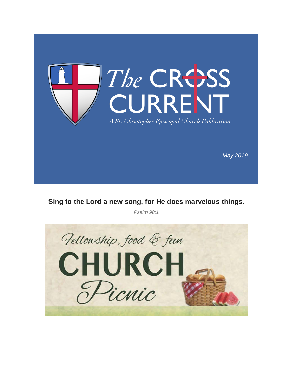

**Sing to the Lord a new song, for He does marvelous things.**

*Psalm 98:1*

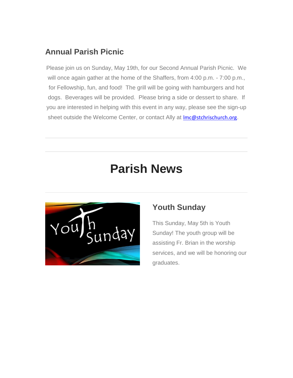## **Annual Parish Picnic**

Please join us on Sunday, May 19th, for our Second Annual Parish Picnic. We will once again gather at the home of the Shaffers, from 4:00 p.m. - 7:00 p.m., for Fellowship, fun, and food! The grill will be going with hamburgers and hot dogs. Beverages will be provided. Please bring a side or dessert to share. If you are interested in helping with this event in any way, please see the sign-up sheet outside the Welcome Center, or contact Ally at *Imc@stchrischurch.org.* 

# **Parish News**



## **Youth Sunday**

This Sunday, May 5th is Youth Sunday! The youth group will be assisting Fr. Brian in the worship services, and we will be honoring our graduates.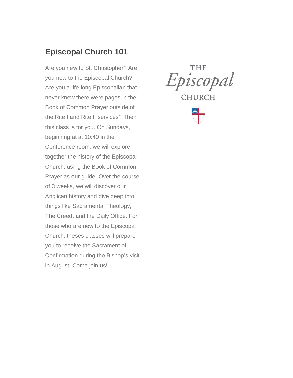## **Episcopal Church 101**

Are you new to St. Christopher? Are you new to the Episcopal Church? Are you a life-long Episcopalian that never knew there were pages in the Book of Common Prayer outside of the Rite I and Rite II services? Then this class is for you. On Sundays, beginning at at 10:40 in the Conference room, we will explore together the history of the Episcopal Church, using the Book of Common Prayer as our guide. Over the course of 3 weeks, we will discover our Anglican history and dive deep into things like Sacramental Theology, The Creed, and the Daily Office. For those who are new to the Episcopal Church, theses classes will prepare you to receive the Sacrament of Confirmation during the Bishop's visit in August. Come join us!

THE Episcopal **CHURCH** 

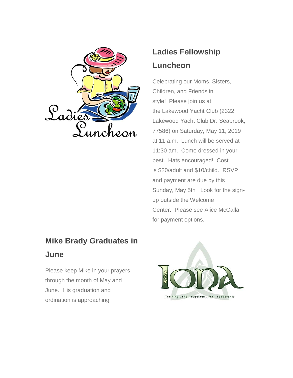

# **Mike Brady Graduates in June**

Please keep Mike in your prayers through the month of May and June. His graduation and ordination is approaching

# **Ladies Fellowship Luncheon**

Celebrating our Moms, Sisters, Children, and Friends in style! Please join us at the Lakewood Yacht Club (2322 Lakewood Yacht Club Dr. Seabrook, 77586) on Saturday, May 11, 2019 at 11 a.m. Lunch will be served at 11:30 am. Come dressed in your best. Hats encouraged! Cost is \$20/adult and \$10/child. RSVP and payment are due by this Sunday, May 5th Look for the signup outside the Welcome Center. Please see Alice McCalla for payment options.

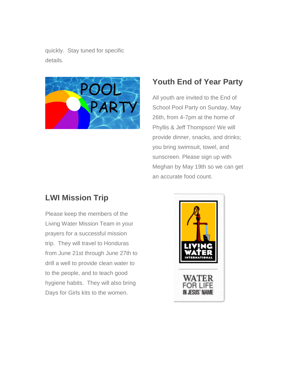quickly. Stay tuned for specific details.



## **Youth End of Year Party**

All youth are invited to the End of School Pool Party on Sunday, May 26th, from 4-7pm at the home of Phyllis & Jeff Thompson! We will provide dinner, snacks, and drinks; you bring swimsuit, towel, and sunscreen. Please sign up with Meghan by May 19th so we can get an accurate food count.

## **LWI Mission Trip**

Please keep the members of the Living Water Mission Team in your prayers for a successful mission trip. They will travel to Honduras from June 21st through June 27th to drill a well to provide clean water to to the people, and to teach good hygiene habits. They will also bring Days for Girls kits to the women.

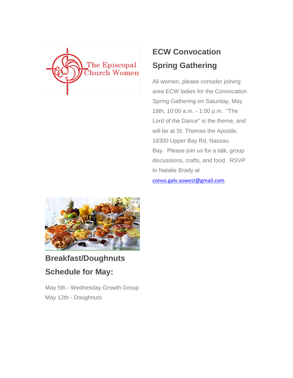

# **ECW Convocation Spring Gathering**

All women, please consider joining area ECW ladies for the Convocation Spring Gathering on Saturday, May 18th, 10:00 a.m. - 1:00 p.m. "The Lord of the Dance" is the theme, and will be at St. Thomas the Apostle, 18300 Upper Bay Rd, Nassau Bay. Please join us for a talk, group discussions, crafts, and food. RSVP to Natalie Brady at [convo.galv.sowest@gmail.com](mailto:convo.galv.sowest@gmail.com).



# **Breakfast/Doughnuts Schedule for May:**

May 5th - Wednesday Growth Group May 12th - Doughnuts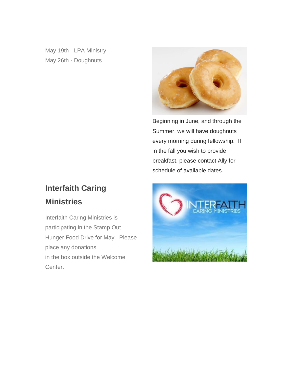May 19th - LPA Ministry May 26th - Doughnuts



Beginning in June, and through the Summer, we will have doughnuts every morning during fellowship. If in the fall you wish to provide breakfast, please contact Ally for schedule of available dates.

## **Interfaith Caring Ministries**

Interfaith Caring Ministries is participating in the Stamp Out Hunger Food Drive for May. Please place any donations in the box outside the Welcome Center.

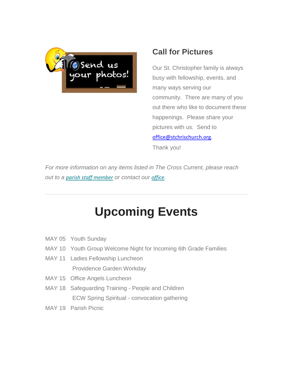

## **Call for Pictures**

Our St. Christopher family is always busy with fellowship, events, and many ways serving our community. There are many of you out there who like to document these happenings. Please share your pictures with us. Send to [office@stchrischurch.org](mailto:office@stchrischurch.org).

Thank you!

*For more information on any items listed in The Cross Current, please reach out to a [parish staff member](https://stchrischurch.us16.list-manage.com/track/click?u=1068646beb2f5eda80cbfbdff&id=1376634e49&e=d674b191b9) or contact our [office](https://stchrischurch.us16.list-manage.com/track/click?u=1068646beb2f5eda80cbfbdff&id=8b81197fc6&e=d674b191b9).*

# **Upcoming Events**

- MAY 05 Youth Sunday
- MAY 10 Youth Group Welcome Night for Incoming 6th Grade Families
- MAY 11 Ladies Fellowship Luncheon Providence Garden Workday
- MAY 15 Office Angels Luncheon
- MAY 18 Safeguarding Training People and Children ECW Spring Spiritual - convocation gathering
- MAY 19 Parish Picnic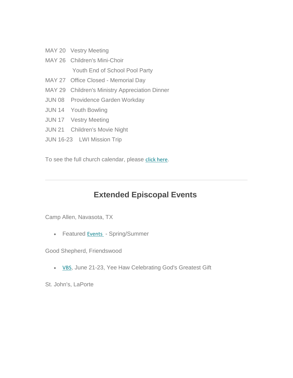- MAY 20 Vestry Meeting
- MAY 26 Children's Mini-Choir Youth End of School Pool Party
- MAY 27 Office Closed Memorial Day
- MAY 29 Children's Ministry Appreciation Dinner
- JUN 08 Providence Garden Workday
- JUN 14 Youth Bowling
- JUN 17 Vestry Meeting
- JUN 21 Children's Movie Night
- JUN 16-23 LWI Mission Trip

To see the full church calendar, please [click here](https://stchrischurch.us16.list-manage.com/track/click?u=1068646beb2f5eda80cbfbdff&id=ca2267dd43&e=d674b191b9).

## **Extended Episcopal Events**

Camp Allen, Navasota, TX

• Featured [E](https://stchrischurch.us16.list-manage.com/track/click?u=1068646beb2f5eda80cbfbdff&id=8d1fb52671&e=d674b191b9)[vents](https://stchrischurch.us16.list-manage.com/track/click?u=1068646beb2f5eda80cbfbdff&id=466c2c8eae&e=d674b191b9) - Spring/Summer

Good Shepherd, Friendswood

• [VBS](https://stchrischurch.us16.list-manage.com/track/click?u=1068646beb2f5eda80cbfbdff&id=ce8a1cfad3&e=d674b191b9), June 21-23, Yee Haw Celebrating God's Greatest Gift

St. John's, LaPorte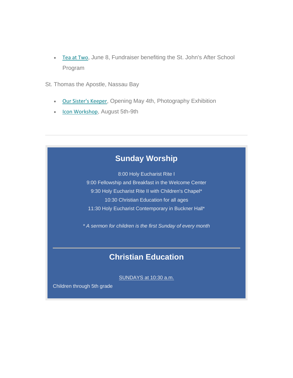- [Tea at Two](https://stchrischurch.us16.list-manage.com/track/click?u=1068646beb2f5eda80cbfbdff&id=14c5e7c31c&e=d674b191b9), June 8, Fundraiser benefiting the St. John's After School Program
- St. Thomas the Apostle, Nassau Bay
	- **[Our Sister's Keeper](https://stchrischurch.us16.list-manage.com/track/click?u=1068646beb2f5eda80cbfbdff&id=021140b5d4&e=d674b191b9), Opening May 4th, Photography Exhibition**
	- **[Icon Workshop](https://stchrischurch.us16.list-manage.com/track/click?u=1068646beb2f5eda80cbfbdff&id=7ddb115da2&e=d674b191b9), August 5th-9th**

## **Sunday Worship**

8:00 Holy Eucharist Rite I 9:00 Fellowship and Breakfast in the Welcome Center 9:30 Holy Eucharist Rite II with Children's Chapel\* 10:30 Christian Education for all ages 11:30 Holy Eucharist Contemporary in Buckner Hall\*

*\* A sermon for children is the first Sunday of every month*

## **Christian Education**

SUNDAYS at 10:30 a.m.

Children through 5th grade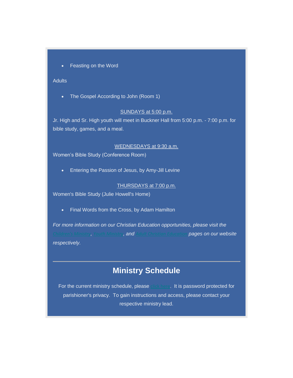• Feasting on the Word

### **Adults**

• The Gospel According to John (Room 1)

### SUNDAYS at 5:00 p.m.

Jr. High and Sr. High youth will meet in Buckner Hall from 5:00 p.m. - 7:00 p.m. for bible study, games, and a meal.

### WEDNESDAYS at 9:30 a.m.

Women's Bible Study (Conference Room)

• Entering the Passion of Jesus, by Amy-Jill Levine

#### THURSDAYS at 7:00 p.m.

Women's Bible Study (Julie Howell's Home)

• Final Words from the Cross, by Adam Hamilton

*For more information on our Christian Education opportunities, please visit the [Children's Ministry](https://stchrischurch.us16.list-manage.com/track/click?u=1068646beb2f5eda80cbfbdff&id=e207d7a205&e=d674b191b9), [Youth Ministry](https://stchrischurch.us16.list-manage.com/track/click?u=1068646beb2f5eda80cbfbdff&id=34a7a3e6a7&e=d674b191b9), and [Adult Christian Education](https://stchrischurch.us16.list-manage.com/track/click?u=1068646beb2f5eda80cbfbdff&id=ba00bc8219&e=d674b191b9) pages on our website respectively.*

### **Ministry Schedule**

For the current ministry schedule, please [click here](https://stchrischurch.us16.list-manage.com/track/click?u=1068646beb2f5eda80cbfbdff&id=08c11e1c5e&e=d674b191b9). It is password protected for parishioner's privacy. To gain instructions and access, please contact your respective ministry lead.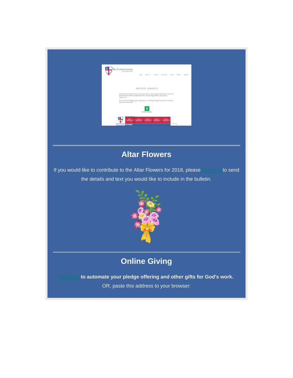| <b>St. CHRISTOPHER</b><br>Episcopal Church<br>HOME ABOUT US WORSHIP MINISTRIES GIVING EVENTS CONTACT                                                                                                                       |  |
|----------------------------------------------------------------------------------------------------------------------------------------------------------------------------------------------------------------------------|--|
| MINISTRY SCHEDULE<br>The Ministry Schedule for the current month is below. To see ministry assignments, click on the<br>tab at the bottom of the spreadsheet for the corresponding month to see any future<br>assignments. |  |
| For any questions regarding your assignments or if needing re-assignment, please contact your<br>respective ministry lead.<br>л<br>Ministry Schedule                                                                       |  |
| after Pemboo<br><b>Acolytes</b><br>Ŀ.                                                                                                                                                                                      |  |
|                                                                                                                                                                                                                            |  |

## **Altar Flowers**

If you would like to contribute to the Altar Flowers for 2018, please [click here](mailto:office@stchrischurch.org?subject=Altar%20Flower%20Donation&body=Name%3A%0A%0ADate%20of%20Service%3A%0A%0AText%20for%20the%20bulletin%3A%20%22The%20flowers%20on%20the%20altar%20today%20are%20given%20to%20the%20glory%20of%20God%20%0Aby%20%3Cinsert%20name%3E...%20%20%20%3Cin%20memory%20of%3E%20or%20%3Cin%20celebration%20of%3E%20or%20%3Cother%3E%20...%22) to send the details and text you would like to include in the bulletin.



## **Online Giving**

to automate your pledge offering and other gifts for God's work. OR, paste this address to your browser: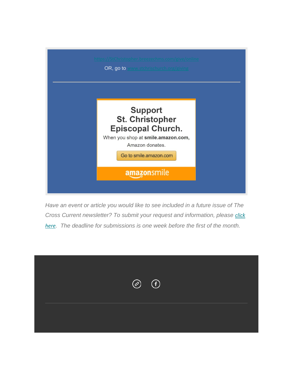

*Have an event or article you would like to see included in a future issue of The Cross Current newsletter? To submit your request and information, please [click](mailto:office@stchrischurch.org?subject=Event%20or%20Article%20for%20The%20Cross%20Current)  [here](mailto:office@stchrischurch.org?subject=Event%20or%20Article%20for%20The%20Cross%20Current). The deadline for submissions is one week before the first of the month.*